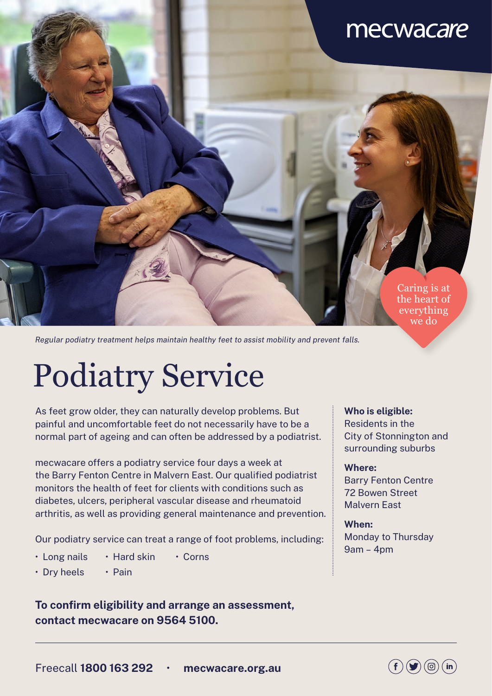## mecwacare

Caring is at the heart of everything we do

*Regular podiatry treatment helps maintain healthy feet to assist mobility and prevent falls.*

# Podiatry Service

As feet grow older, they can naturally develop problems. But painful and uncomfortable feet do not necessarily have to be a normal part of ageing and can often be addressed by a podiatrist.

mecwacare offers a podiatry service four days a week at the Barry Fenton Centre in Malvern East. Our qualified podiatrist monitors the health of feet for clients with conditions such as diabetes, ulcers, peripheral vascular disease and rheumatoid arthritis, as well as providing general maintenance and prevention.

Our podiatry service can treat a range of foot problems, including:

- Long nails Hard skin Corns
- Dry heels Pain

#### **To confirm eligibility and arrange an assessment, contact mecwacare on 9564 5100.**

#### **Who is eligible:**

Residents in the City of Stonnington and surrounding suburbs

#### **Where:**

Barry Fenton Centre 72 Bowen Street Malvern East

**When:** Monday to Thursday 9am – 4pm